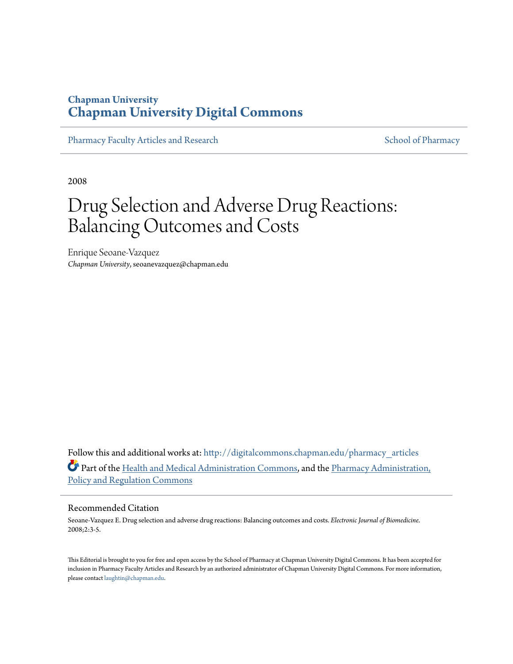### **Chapman University [Chapman University Digital Commons](http://digitalcommons.chapman.edu?utm_source=digitalcommons.chapman.edu%2Fpharmacy_articles%2F492&utm_medium=PDF&utm_campaign=PDFCoverPages)**

[Pharmacy Faculty Articles and Research](http://digitalcommons.chapman.edu/pharmacy_articles?utm_source=digitalcommons.chapman.edu%2Fpharmacy_articles%2F492&utm_medium=PDF&utm_campaign=PDFCoverPages) [School of Pharmacy](http://digitalcommons.chapman.edu/cusp?utm_source=digitalcommons.chapman.edu%2Fpharmacy_articles%2F492&utm_medium=PDF&utm_campaign=PDFCoverPages)

2008

# Drug Selection and Adverse Drug Reactions: Balancing Outcomes and Costs

Enrique Seoane-Vazquez *Chapman University*, seoanevazquez@chapman.edu

Follow this and additional works at: [http://digitalcommons.chapman.edu/pharmacy\\_articles](http://digitalcommons.chapman.edu/pharmacy_articles?utm_source=digitalcommons.chapman.edu%2Fpharmacy_articles%2F492&utm_medium=PDF&utm_campaign=PDFCoverPages) Part of the [Health and Medical Administration Commons](http://network.bepress.com/hgg/discipline/663?utm_source=digitalcommons.chapman.edu%2Fpharmacy_articles%2F492&utm_medium=PDF&utm_campaign=PDFCoverPages), and the [Pharmacy Administration,](http://network.bepress.com/hgg/discipline/732?utm_source=digitalcommons.chapman.edu%2Fpharmacy_articles%2F492&utm_medium=PDF&utm_campaign=PDFCoverPages) [Policy and Regulation Commons](http://network.bepress.com/hgg/discipline/732?utm_source=digitalcommons.chapman.edu%2Fpharmacy_articles%2F492&utm_medium=PDF&utm_campaign=PDFCoverPages)

#### Recommended Citation

Seoane-Vazquez E. Drug selection and adverse drug reactions: Balancing outcomes and costs. *Electronic Journal of Biomedicine*. 2008;2:3-5.

This Editorial is brought to you for free and open access by the School of Pharmacy at Chapman University Digital Commons. It has been accepted for inclusion in Pharmacy Faculty Articles and Research by an authorized administrator of Chapman University Digital Commons. For more information, please contact [laughtin@chapman.edu.](mailto:laughtin@chapman.edu)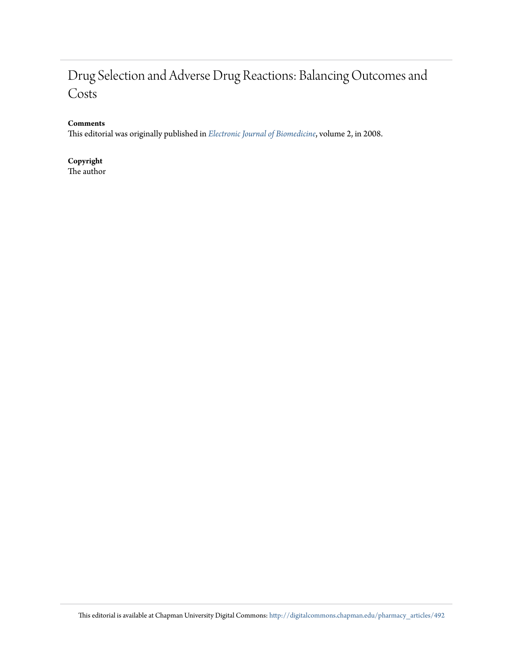# Drug Selection and Adverse Drug Reactions: Balancing Outcomes and Costs

### **Comments**

This editorial was originally published in *[Electronic Journal of Biomedicine](http://biomed.uninet.edu/2008/n2/editorial-en.html)*, volume 2, in 2008.

**Copyright** The author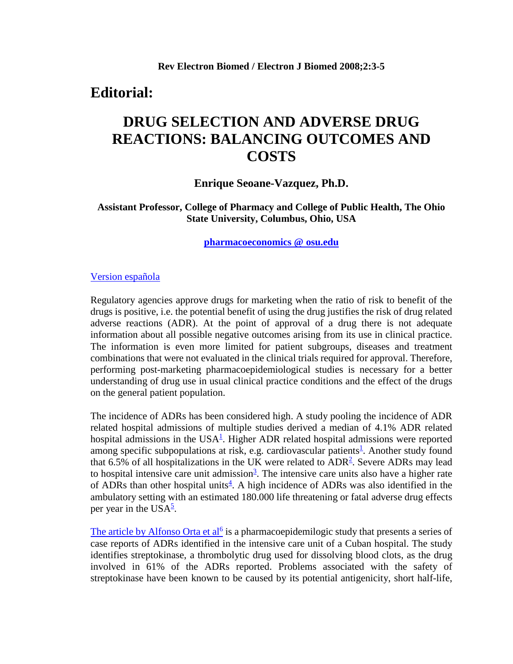### **Editorial:**

## **DRUG SELECTION AND ADVERSE DRUG REACTIONS: BALANCING OUTCOMES AND COSTS**

### **Enrique Seoane-Vazquez, Ph.D.**

**Assistant Professor, College of Pharmacy and College of Public Health, The Ohio State University, Columbus, Ohio, USA**

**[pharmacoeconomics @ osu.edu](mailto:pharmacoeconomics%20@%20osu.edu)**

#### [Version española](http://biomed.uninet.edu/2008/n2/editorial.html)

Regulatory agencies approve drugs for marketing when the ratio of risk to benefit of the drugs is positive, i.e. the potential benefit of using the drug justifies the risk of drug related adverse reactions (ADR). At the point of approval of a drug there is not adequate information about all possible negative outcomes arising from its use in clinical practice. The information is even more limited for patient subgroups, diseases and treatment combinations that were not evaluated in the clinical trials required for approval. Therefore, performing post-marketing pharmacoepidemiological studies is necessary for a better understanding of drug use in usual clinical practice conditions and the effect of the drugs on the general patient population.

The incidence of ADRs has been considered high. A study pooling the incidence of ADR related hospital admissions of multiple studies derived a median of 4.1% ADR related hospital admissions in the USA $<sup>1</sup>$ . Higher ADR related hospital admissions were reported</sup> among specific subpopulations at risk, e.g. cardiovascular patients<sup>[1](http://biomed.uninet.edu/2008/n2/editorial-en.html#1)</sup>. Another study found that 6.5% of all hospitalizations in the UK were related to  $ADR<sup>2</sup>$  $ADR<sup>2</sup>$  $ADR<sup>2</sup>$ . Severe ADRs may lead to hospital intensive care unit admission<sup>[3](http://biomed.uninet.edu/2008/n2/editorial-en.html#3)</sup>. The intensive care units also have a higher rate of ADRs than other hospital units<sup>[4](http://biomed.uninet.edu/2008/n2/editorial-en.html#4)</sup>. A high incidence of ADRs was also identified in the ambulatory setting with an estimated 180.000 life threatening or fatal adverse drug effects per year in the USA $\frac{5}{2}$ .

[The article by Alfonso Orta et al](http://biomed.uninet.edu/2008/n2/alfonso.html)<sup>[6](http://biomed.uninet.edu/2008/n2/alfonso.html)</sup> is a pharmacoepidemilogic study that presents a series of case reports of ADRs identified in the intensive care unit of a Cuban hospital. The study identifies streptokinase, a thrombolytic drug used for dissolving blood clots, as the drug involved in 61% of the ADRs reported. Problems associated with the safety of streptokinase have been known to be caused by its potential antigenicity, short half-life,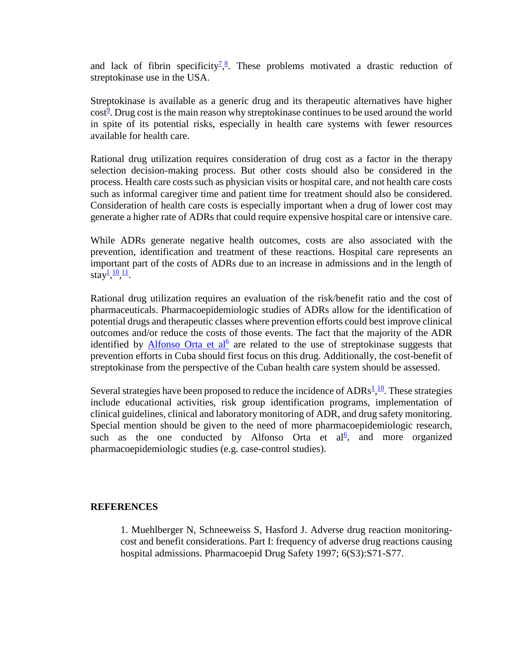and lack of fibrin specificity<sup> $7,8$  $7,8$ </sup>. These problems motivated a drastic reduction of streptokinase use in the USA.

Streptokinase is available as a generic drug and its therapeutic alternatives have higher cost<sup>[9](http://biomed.uninet.edu/2008/n2/editorial-en.html#9)</sup>. Drug cost is the main reason why streptokinase continues to be used around the world in spite of its potential risks, especially in health care systems with fewer resources available for health care.

Rational drug utilization requires consideration of drug cost as a factor in the therapy selection decision-making process. But other costs should also be considered in the process. Health care costs such as physician visits or hospital care, and not health care costs such as informal caregiver time and patient time for treatment should also be considered. Consideration of health care costs is especially important when a drug of lower cost may generate a higher rate of ADRs that could require expensive hospital care or intensive care.

While ADRs generate negative health outcomes, costs are also associated with the prevention, identification and treatment of these reactions. Hospital care represents an important part of the costs of ADRs due to an increase in admissions and in the length of stay $\frac{1}{2}, \frac{10}{2}, \frac{11}{2}.$ 

Rational drug utilization requires an evaluation of the risk/benefit ratio and the cost of pharmaceuticals. Pharmacoepidemiologic studies of ADRs allow for the identification of potential drugs and therapeutic classes where prevention efforts could best improve clinical outcomes and/or reduce the costs of those events. The fact that the majority of the ADR identified by  $\Delta$ Ifonso Orta et al<sup>[6](http://biomed.uninet.edu/2008/n2/alfonso.html)</sup> are related to the use of streptokinase suggests that prevention efforts in Cuba should first focus on this drug. Additionally, the cost-benefit of streptokinase from the perspective of the Cuban health care system should be assessed.

Several strategies have been proposed to reduce the incidence of  $\text{ADRs}^1$  $\text{ADRs}^1$ ,  $\frac{10}{10}$ . These strategies include educational activities, risk group identification programs, implementation of clinical guidelines, clinical and laboratory monitoring of ADR, and drug safety monitoring. Special mention should be given to the need of more pharmacoepidemiologic research, such as the one conducted by Alfonso Orta et  $al<sup>6</sup>$ [,](http://biomed.uninet.edu/2008/n2/editorial-en.html#6) and more organized pharmacoepidemiologic studies (e.g. case-control studies).

### **REFERENCES**

1. Muehlberger N, Schneeweiss S, Hasford J. Adverse drug reaction monitoringcost and benefit considerations. Part I: frequency of adverse drug reactions causing hospital admissions. Pharmacoepid Drug Safety 1997; 6(S3):S71-S77.